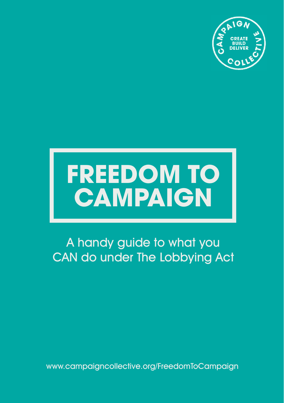

## **FREEDOM TO CAMPAIGN**

## A handy guide to what you CAN do under The Lobbying Act

www.campaigncollective.org/FreedomToCampaign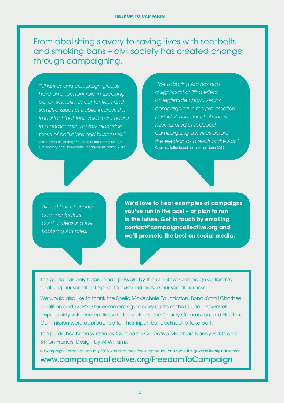From abolishing slavery to saving lives with seatbelts and smoking bans – civil society has created change through campaigning.

"Charities and campaign groups have an important role in speaking out on sometimes contentious and sensitive issues of public interest. It is important that their voices are heard in a democratic society alongside those of politicians and businesses." Lord Harries of Pentregarth, chair of the Commission on Civil Society and Democratic Engagement, March 2016

"The Lobbying Act has had a significant chilling effect on legitimate charity sector campaigning in the pre-election period. A number of charities have altered or reduced campaigning activities before the election as a result of the Act." Charities' letter to political parties, June 2017

Almost half of charity communicators don't understand the Lobbying Act rules.

**We'd love to hear examples of campaigns you've run in the past – or plan to run in the future. Get in touch by emailing contact@campaigncollective.org and we'll promote the best on social media.**

This guide has only been made possible by the clients of Campaign Collective enabling our social enterprise to exist and pursue our social purpose.

We would also like to thank the Sheila McKechnie Foundation, Bond, Small Charities Coalition and ACEVO for commenting on early drafts of this Guide – however, responsibility with content lies with the authors. The Charity Commission and Electoral Commission were approached for their input, but declined to take part.

The guide has been written by Campaign Collective Members Nancy Platts and Simon Francis. Design by Al Williams.

© Campaign Collective, January 2018. Charities may freely reproduce and share this guide in its original format.

www.campaigncollective.org/FreedomToCampaign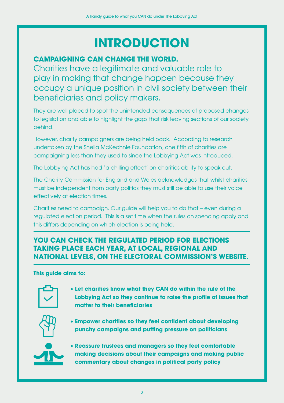## **INTRODUCTION**

#### **CAMPAIGNING CAN CHANGE THE WORLD.**

Charities have a legitimate and valuable role to play in making that change happen because they occupy a unique position in civil society between their beneficiaries and policy makers.

They are well placed to spot the unintended consequences of proposed changes to legislation and able to highlight the gaps that risk leaving sections of our society behind.

However, charity campaigners are being held back. According to research undertaken by the Sheila McKechnie Foundation, one fifth of charities are campaigning less than they used to since the Lobbying Act was introduced.

The Lobbying Act has had 'a chilling effect' on charities ability to speak out.

The Charity Commission for England and Wales acknowledges that whilst charities must be independent from party politics they must still be able to use their voice effectively at election times.

Charities need to campaign. Our guide will help you to do that – even during a regulated election period. This is a set time when the rules on spending apply and this differs depending on which election is being held.

#### **YOU CAN CHECK THE REGULATED PERIOD FOR ELECTIONS TAKING PLACE EACH YEAR, AT LOCAL, REGIONAL AND NATIONAL LEVELS, ON THE ELECTORAL COMMISSION'S WEBSITE.**

**This guide aims to:**



• **Let charities know what they CAN do within the rule of the Lobbying Act so they continue to raise the profile of issues that matter to their beneficiaries**



• **Empower charities so they feel confident about developing punchy campaigns and putting pressure on politicians**



• **Reassure trustees and managers so they feel comfortable making decisions about their campaigns and making public commentary about changes in political party policy**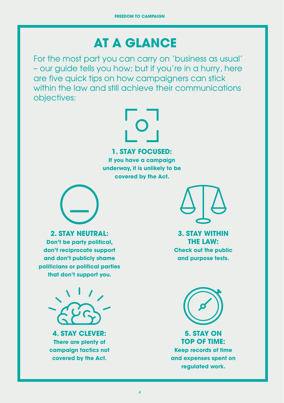## **AT A GLANCE**

For the most part you can carry on 'business as usual' – our guide tells you how; but if you're in a hurry, here are five quick tips on how campaigners can stick within the law and still achieve their communications objectives:

# $\overline{\phantom{0}}$

#### **1. STAY FOCUSED:**

**If you have a campaign underway, it is unlikely to be covered by the Act.**



**2. STAY NEUTRAL:** 

**Don't be party political, don't reciprocate support and don't publicly shame politicians or political parties that don't support you.**



**4. STAY CLEVER: There are plenty of campaign tactics not covered by the Act.**



**3. STAY WITHIN THE LAW: Check out the public and purpose tests.**



**5. STAY ON TOP OF TIME: Keep records of time and expenses spent on regulated work.**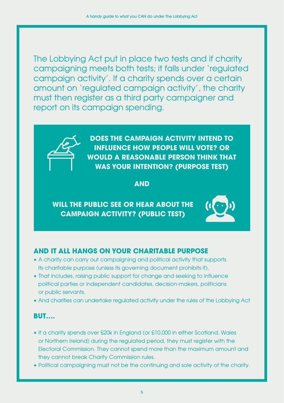The Lobbying Act put in place two tests and if charity campaigning meets both tests; it falls under 'regulated campaign activity'. If a charity spends over a certain amount on 'regulated campaign activity', the charity must then register as a third party campaigner and report on its campaign spending.



**DOES THE CAMPAIGN ACTIVITY INTEND TO INFLUENCE HOW PEOPLE WILL VOTE? OR WOULD A REASONABLE PERSON THINK THAT WAS YOUR INTENTION? (PURPOSE TEST)**

#### **AND**

#### **WILL THE PUBLIC SEE OR HEAR ABOUT THE CAMPAIGN ACTIVITY? (PUBLIC TEST)**



#### **AND IT ALL HANGS ON YOUR CHARITABLE PURPOSE**

- A charity can carry out campaigning and political activity that supports its charitable purpose (unless its governing document prohibits it).
- That includes, raising public support for change and seeking to influence political parties or independent candidates, decision-makers, politicians or public servants.
- And charities can undertake regulated activity under the rules of the Lobbying Act

#### **BUT….**

- If a charity spends over £20k in England (or £10,000 in either Scotland, Wales or Northern Ireland) during the regulated period, they must register with the Electoral Commission. They cannot spend more than the maximum amount and they cannot break Charity Commission rules.
- Political campaigning must not be the continuing and sole activity of the charity.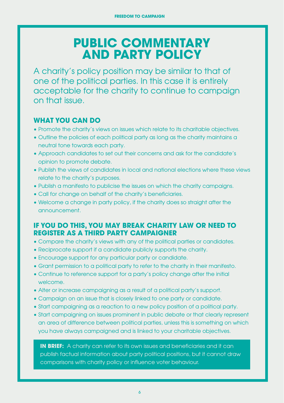## **PUBLIC COMMENTARY AND PARTY POLICY**

A charity's policy position may be similar to that of one of the political parties. In this case it is entirely acceptable for the charity to continue to campaign on that issue.

#### **WHAT YOU CAN DO**

- Promote the charity's views on issues which relate to its charitable objectives.
- Outline the policies of each political party as long as the charity maintains a neutral tone towards each party.
- Approach candidates to set out their concerns and ask for the candidate's opinion to promote debate.
- Publish the views of candidates in local and national elections where these views relate to the charity's purposes.
- Publish a manifesto to publicise the issues on which the charity campaigns.
- Call for change on behalf of the charity's beneficiaries.
- Welcome a change in party policy, if the charity does so straight after the announcement.

#### **IF YOU DO THIS, YOU MAY BREAK CHARITY LAW OR NEED TO REGISTER AS A THIRD PARTY CAMPAIGNER**

- Compare the charity's views with any of the political parties or candidates.
- Reciprocate support if a candidate publicly supports the charity.
- Encourage support for any particular party or candidate.
- Grant permission to a political party to refer to the charity in their manifesto.
- Continue to reference support for a party's policy change after the initial welcome.
- Alter or increase campaigning as a result of a political party's support.
- Campaign on an issue that is closely linked to one party or candidate.
- Start campaigning as a reaction to a new policy position of a political party.
- Start campaigning on issues prominent in public debate or that clearly represent an area of difference between political parties, unless this is something on which you have always campaigned and is linked to your charitable objectives.

**IN BRIEF:** A charity can refer to its own issues and beneficiaries and it can publish factual information about party political positions, but it cannot draw comparisons with charity policy or influence voter behaviour.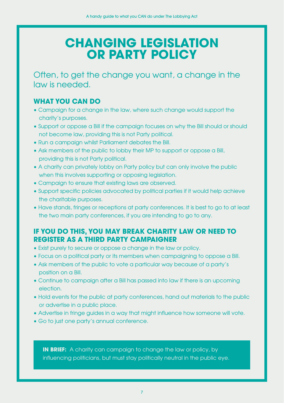## **CHANGING LEGISLATION OR PARTY POLICY**

Often, to get the change you want, a change in the law is needed.

#### **WHAT YOU CAN DO**

- Campaign for a change in the law, where such change would support the charity's purposes.
- Support or oppose a Bill if the campaign focuses on why the Bill should or should not become law, providing this is not Party political.
- Run a campaign whilst Parliament debates the Bill.
- Ask members of the public to lobby their MP to support or oppose a Bill, providing this is not Party political.
- A charity can privately lobby on Party policy but can only involve the public when this involves supporting or opposing legislation.
- Campaign to ensure that existing laws are observed.
- Support specific policies advocated by political parties if it would help achieve the charitable purposes.
- Have stands, fringes or receptions at party conferences. It is best to go to at least the two main party conferences, if you are intending to go to any.

#### **IF YOU DO THIS, YOU MAY BREAK CHARITY LAW OR NEED TO REGISTER AS A THIRD PARTY CAMPAIGNER**

- Exist purely to secure or oppose a change in the law or policy.
- Focus on a political party or its members when campaigning to oppose a Bill.
- Ask members of the public to vote a particular way because of a party's position on a Bill.
- Continue to campaign after a Bill has passed into law if there is an upcoming election.
- Hold events for the public at party conferences, hand out materials to the public or advertise in a public place.
- Advertise in fringe guides in a way that might influence how someone will vote.
- Go to just one party's annual conference.

**IN BRIEF:** A charity can campaign to change the law or policy, by influencing politicians, but must stay politically neutral in the public eye.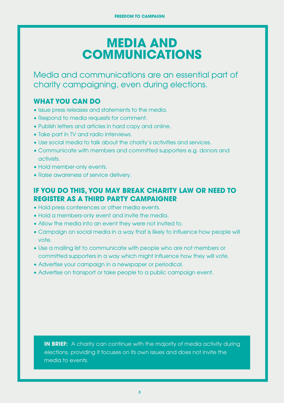## **MEDIA AND COMMUNICATIONS**

Media and communications are an essential part of charity campaigning, even during elections.

#### **WHAT YOU CAN DO**

- Issue press releases and statements to the media.
- Respond to media requests for comment.
- Publish letters and articles in hard copy and online.
- Take part in TV and radio interviews.
- Use social media to talk about the charity's activities and services.
- Communicate with members and committed supporters e.g. donors and activists.
- Hold member-only events.
- Raise awareness of service delivery.

#### **IF YOU DO THIS, YOU MAY BREAK CHARITY LAW OR NEED TO REGISTER AS A THIRD PARTY CAMPAIGNER**

- Hold press conferences or other media events.
- Hold a members-only event and invite the media.
- Allow the media into an event they were not invited to.
- Campaign on social media in a way that is likely to influence how people will vote.
- Use a mailing list to communicate with people who are not members or committed supporters in a way which might influence how they will vote.
- Advertise your campaign in a newspaper or periodical.
- Advertise on transport or take people to a public campaign event.

**IN BRIEF:** A charity can continue with the majority of media activity during elections, providing it focuses on its own issues and does not invite the media to events.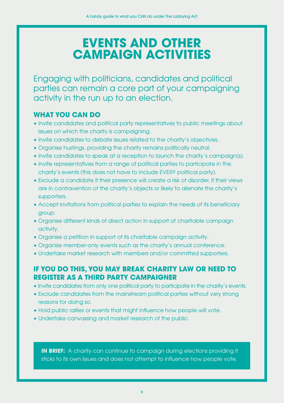## **EVENTS AND OTHER CAMPAIGN ACTIVITIES**

Engaging with politicians, candidates and political parties can remain a core part of your campaigning activity in the run up to an election.

#### **WHAT YOU CAN DO**

- Invite candidates and political party representatives to public meetings about issues on which the charity is campaigning.
- Invite candidates to debate issues related to the charity's objectives.
- Organise hustings, providing the charity remains politically neutral.
- Invite candidates to speak at a reception to launch the charity's campaign(s).
- Invite representatives from a range of political parties to participate in the charity's events (this does not have to include EVERY political party).
- Exclude a candidate if their presence will create a risk of disorder, if their views are in contravention of the charity's objects or likely to alienate the charity's supporters.
- Accept invitations from political parties to explain the needs of its beneficiary group.
- Organise different kinds of direct action in support of charitable campaign activity.
- Organise a petition in support of its charitable campaign activity.
- Organise member-only events such as the charity's annual conference.
- Undertake market research with members and/or committed supporters.

#### **IF YOU DO THIS, YOU MAY BREAK CHARITY LAW OR NEED TO REGISTER AS A THIRD PARTY CAMPAIGNER**

- Invite candidates from only one political party to participate in the charity's events.
- Exclude candidates from the mainstream political parties without very strong reasons for doing so.
- Hold public rallies or events that might influence how people will vote.
- Undertake canvassing and market research of the public.

**IN BRIEF:** A charity can continue to campaign during elections providing it sticks to its own issues and does not attempt to influence how people vote.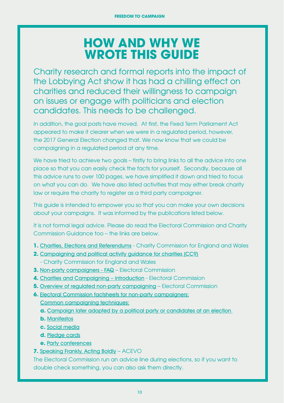## **HOW AND WHY WE WROTE THIS GUIDE**

Charity research and formal reports into the impact of the Lobbying Act show it has had a chilling effect on charities and reduced their willingness to campaign on issues or engage with politicians and election candidates. This needs to be challenged.

In addition, the goal posts have moved. At first, the Fixed Term Parliament Act appeared to make it clearer when we were in a regulated period, however, the 2017 General Election changed that. We now know that we could be campaigning in a regulated period at any time.

We have tried to achieve two goals – firstly to bring links to all the advice into one place so that you can easily check the facts for yourself. Secondly, because all this advice runs to over 100 pages, we have simplified it down and tried to focus on what you can do. We have also listed activities that may either break charity law or require the charity to register as a third party campaigner.

This guide is intended to empower you so that you can make your own decisions about your campaigns. It was informed by the publications listed below.

It is not formal legal advice. Please do read the Electoral Commission and Charity Commission Guidance too – the links are below.

- **1.** Charities, Elections and Referendums Charity Commission for England and Wales
- **2.** Campaigning and political activity guidance for charities (CC9) - Charity Commission for England and Wales
- **3.** Non-party campaigners FAQ Electoral Commission
- **4.** Charities and Campaigning introduction Electoral Commission
- **5. Overview of regulated non-party campaigning Electoral Commission**
- **6.** Electoral Commission factsheets for non-party campaigners:
	- Common campaigning techniques:
	- **a.** Campaign later adopted by a political party or candidates at an election
	- **b.** Manifestos
	- **c.** Social media
	- **d.** Pledge cards
	- **e.** Party conferences

**7.** Speaking Frankly, Acting Boldly – ACEVO

The Electoral Commission run an advice line during elections, so if you want to double check something, you can also ask them directly.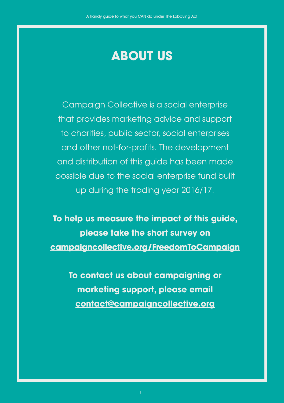## **ABOUT US**

Campaign Collective is a social enterprise that provides marketing advice and support to charities, public sector, social enterprises and other not-for-profits. The development and distribution of this guide has been made possible due to the social enterprise fund built up during the trading year 2016/17.

**To help us measure the impact of this guide, please take the short survey on campaigncollective.org/FreedomToCampaign**

**To contact us about campaigning or marketing support, please email contact@campaigncollective.org**